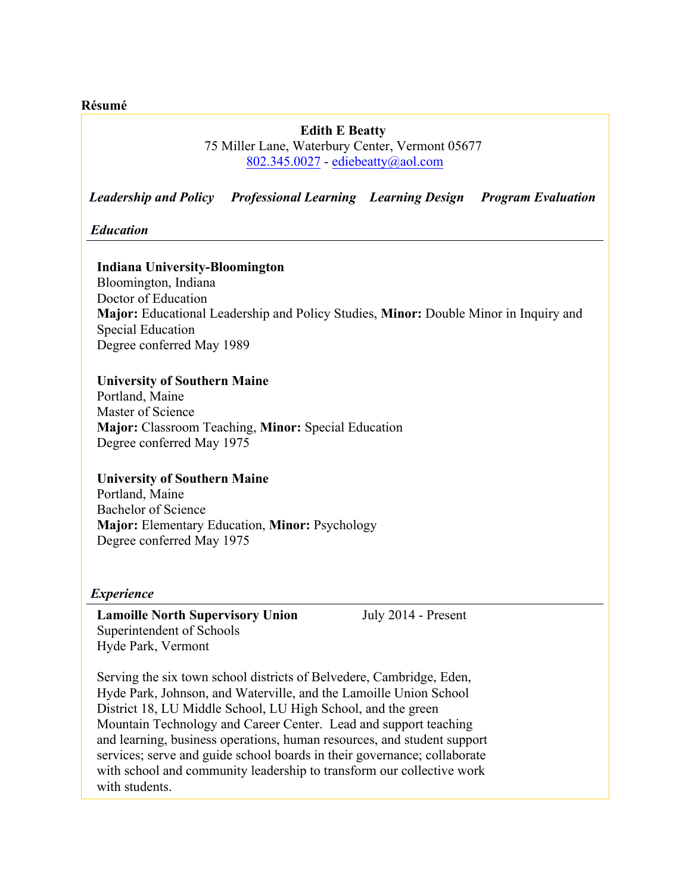**Résumé**

# **Edith E Beatty** 75 Miller Lane, Waterbury Center, Vermont 05677 802.345.0027 - ediebeatty@aol.com

*Leadership and Policy Professional Learning Learning Design Program Evaluation* 

*Education*

### **Indiana University-Bloomington**

Bloomington, Indiana Doctor of Education **Major:** Educational Leadership and Policy Studies, **Minor:** Double Minor in Inquiry and Special Education Degree conferred May 1989

### **University of Southern Maine**

Portland, Maine Master of Science **Major:** Classroom Teaching, **Minor:** Special Education Degree conferred May 1975

### **University of Southern Maine**

Portland, Maine Bachelor of Science **Major:** Elementary Education, **Minor:** Psychology Degree conferred May 1975

#### *Experience*

**Lamoille North Supervisory Union** July 2014 - Present Superintendent of Schools Hyde Park, Vermont

Serving the six town school districts of Belvedere, Cambridge, Eden, Hyde Park, Johnson, and Waterville, and the Lamoille Union School District 18, LU Middle School, LU High School, and the green Mountain Technology and Career Center. Lead and support teaching and learning, business operations, human resources, and student support services; serve and guide school boards in their governance; collaborate with school and community leadership to transform our collective work with students.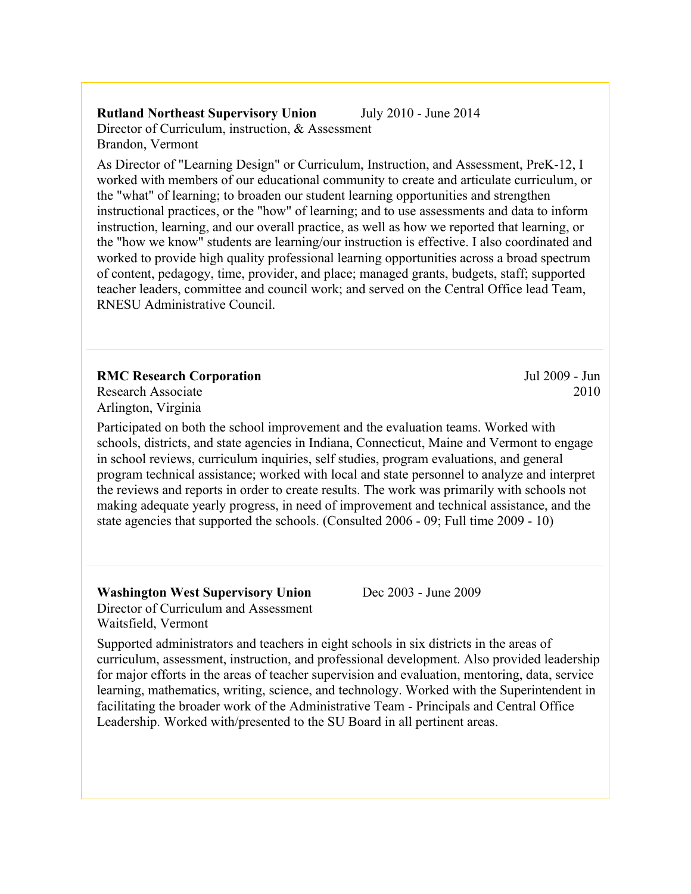# **Rutland Northeast Supervisory Union** July 2010 - June 2014 Director of Curriculum, instruction, & Assessment Brandon, Vermont

As Director of "Learning Design" or Curriculum, Instruction, and Assessment, PreK-12, I worked with members of our educational community to create and articulate curriculum, or the "what" of learning; to broaden our student learning opportunities and strengthen instructional practices, or the "how" of learning; and to use assessments and data to inform instruction, learning, and our overall practice, as well as how we reported that learning, or the "how we know" students are learning/our instruction is effective. I also coordinated and worked to provide high quality professional learning opportunities across a broad spectrum of content, pedagogy, time, provider, and place; managed grants, budgets, staff; supported teacher leaders, committee and council work; and served on the Central Office lead Team, RNESU Administrative Council.

### **RMC Research Corporation**

Research Associate Arlington, Virginia

Participated on both the school improvement and the evaluation teams. Worked with schools, districts, and state agencies in Indiana, Connecticut, Maine and Vermont to engage in school reviews, curriculum inquiries, self studies, program evaluations, and general program technical assistance; worked with local and state personnel to analyze and interpret the reviews and reports in order to create results. The work was primarily with schools not making adequate yearly progress, in need of improvement and technical assistance, and the state agencies that supported the schools. (Consulted 2006 - 09; Full time 2009 - 10)

**Washington West Supervisory Union** Dec 2003 - June 2009 Director of Curriculum and Assessment Waitsfield, Vermont

Supported administrators and teachers in eight schools in six districts in the areas of curriculum, assessment, instruction, and professional development. Also provided leadership for major efforts in the areas of teacher supervision and evaluation, mentoring, data, service learning, mathematics, writing, science, and technology. Worked with the Superintendent in facilitating the broader work of the Administrative Team - Principals and Central Office Leadership. Worked with/presented to the SU Board in all pertinent areas.

Jul 2009 - Jun 2010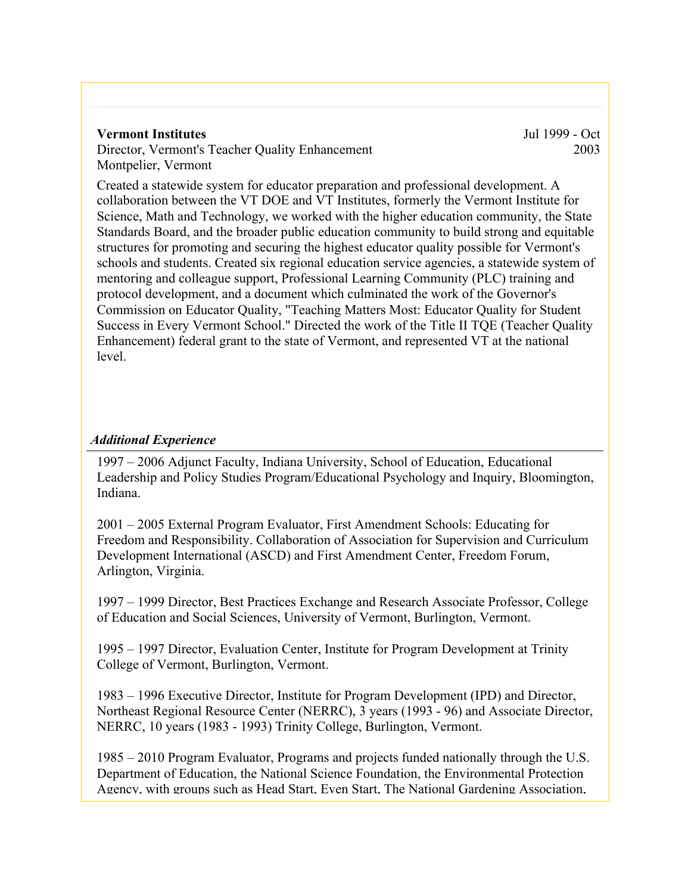#### **Vermont Institutes**

Director, Vermont's Teacher Quality Enhancement Montpelier, Vermont

Jul 1999 - Oct 2003

Created a statewide system for educator preparation and professional development. A collaboration between the VT DOE and VT Institutes, formerly the Vermont Institute for Science, Math and Technology, we worked with the higher education community, the State Standards Board, and the broader public education community to build strong and equitable structures for promoting and securing the highest educator quality possible for Vermont's schools and students. Created six regional education service agencies, a statewide system of mentoring and colleague support, Professional Learning Community (PLC) training and protocol development, and a document which culminated the work of the Governor's Commission on Educator Quality, "Teaching Matters Most: Educator Quality for Student Success in Every Vermont School." Directed the work of the Title II TQE (Teacher Quality Enhancement) federal grant to the state of Vermont, and represented VT at the national level.

# *Additional Experience*

1997 – 2006 Adjunct Faculty, Indiana University, School of Education, Educational Leadership and Policy Studies Program/Educational Psychology and Inquiry, Bloomington, Indiana.

2001 – 2005 External Program Evaluator, First Amendment Schools: Educating for Freedom and Responsibility. Collaboration of Association for Supervision and Curriculum Development International (ASCD) and First Amendment Center, Freedom Forum, Arlington, Virginia.

1997 – 1999 Director, Best Practices Exchange and Research Associate Professor, College of Education and Social Sciences, University of Vermont, Burlington, Vermont.

1995 – 1997 Director, Evaluation Center, Institute for Program Development at Trinity College of Vermont, Burlington, Vermont.

1983 – 1996 Executive Director, Institute for Program Development (IPD) and Director, Northeast Regional Resource Center (NERRC), 3 years (1993 - 96) and Associate Director, NERRC, 10 years (1983 - 1993) Trinity College, Burlington, Vermont.

1985 – 2010 Program Evaluator, Programs and projects funded nationally through the U.S. Department of Education, the National Science Foundation, the Environmental Protection Agency, with groups such as Head Start, Even Start, The National Gardening Association,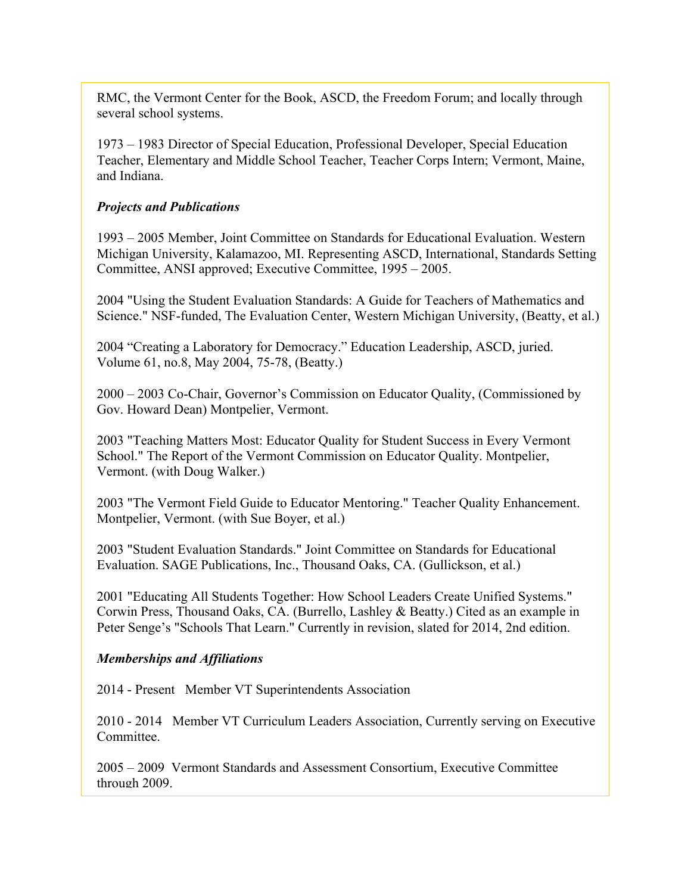RMC, the Vermont Center for the Book, ASCD, the Freedom Forum; and locally through several school systems.

1973 – 1983 Director of Special Education, Professional Developer, Special Education Teacher, Elementary and Middle School Teacher, Teacher Corps Intern; Vermont, Maine, and Indiana.

## *Projects and Publications*

1993 – 2005 Member, Joint Committee on Standards for Educational Evaluation. Western Michigan University, Kalamazoo, MI. Representing ASCD, International, Standards Setting Committee, ANSI approved; Executive Committee, 1995 – 2005.

2004 "Using the Student Evaluation Standards: A Guide for Teachers of Mathematics and Science." NSF-funded, The Evaluation Center, Western Michigan University, (Beatty, et al.)

2004 "Creating a Laboratory for Democracy." Education Leadership, ASCD, juried. Volume 61, no.8, May 2004, 75-78, (Beatty.)

2000 – 2003 Co-Chair, Governor's Commission on Educator Quality, (Commissioned by Gov. Howard Dean) Montpelier, Vermont.

2003 "Teaching Matters Most: Educator Quality for Student Success in Every Vermont School." The Report of the Vermont Commission on Educator Quality. Montpelier, Vermont. (with Doug Walker.)

2003 "The Vermont Field Guide to Educator Mentoring." Teacher Quality Enhancement. Montpelier, Vermont. (with Sue Boyer, et al.)

2003 "Student Evaluation Standards." Joint Committee on Standards for Educational Evaluation. SAGE Publications, Inc., Thousand Oaks, CA. (Gullickson, et al.)

2001 "Educating All Students Together: How School Leaders Create Unified Systems." Corwin Press, Thousand Oaks, CA. (Burrello, Lashley & Beatty.) Cited as an example in Peter Senge's "Schools That Learn." Currently in revision, slated for 2014, 2nd edition.

### *Memberships and Affiliations*

2014 - Present Member VT Superintendents Association

2010 - 2014 Member VT Curriculum Leaders Association, Currently serving on Executive **Committee** 

2005 – 2009 Vermont Standards and Assessment Consortium, Executive Committee through 2009.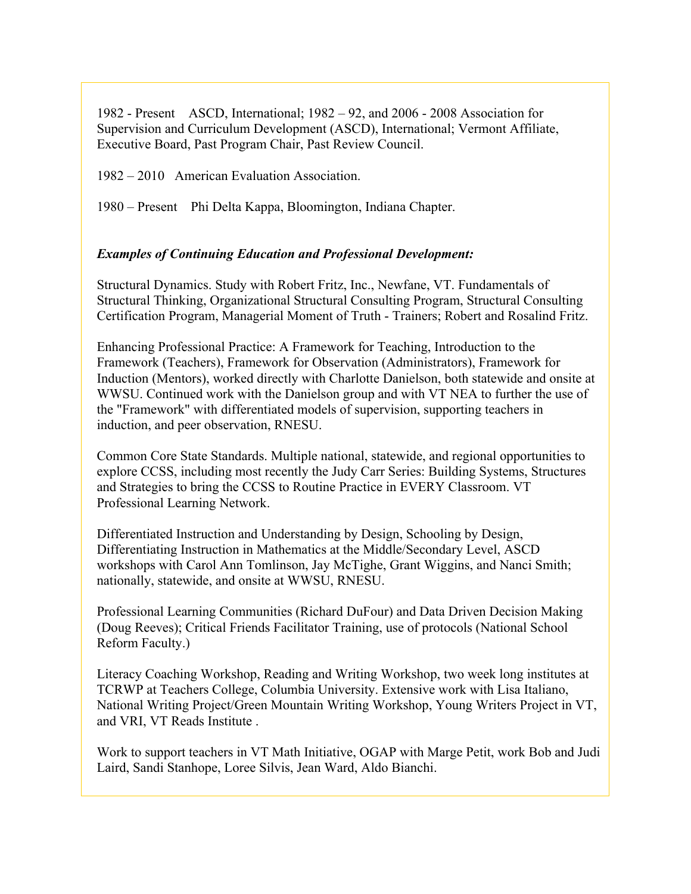1982 - Present ASCD, International; 1982 – 92, and 2006 - 2008 Association for Supervision and Curriculum Development (ASCD), International; Vermont Affiliate, Executive Board, Past Program Chair, Past Review Council.

1982 – 2010 American Evaluation Association.

1980 – Present Phi Delta Kappa, Bloomington, Indiana Chapter.

## *Examples of Continuing Education and Professional Development:*

Structural Dynamics. Study with Robert Fritz, Inc., Newfane, VT. Fundamentals of Structural Thinking, Organizational Structural Consulting Program, Structural Consulting Certification Program, Managerial Moment of Truth - Trainers; Robert and Rosalind Fritz.

Enhancing Professional Practice: A Framework for Teaching, Introduction to the Framework (Teachers), Framework for Observation (Administrators), Framework for Induction (Mentors), worked directly with Charlotte Danielson, both statewide and onsite at WWSU. Continued work with the Danielson group and with VT NEA to further the use of the "Framework" with differentiated models of supervision, supporting teachers in induction, and peer observation, RNESU.

Common Core State Standards. Multiple national, statewide, and regional opportunities to explore CCSS, including most recently the Judy Carr Series: Building Systems, Structures and Strategies to bring the CCSS to Routine Practice in EVERY Classroom. VT Professional Learning Network.

Differentiated Instruction and Understanding by Design, Schooling by Design, Differentiating Instruction in Mathematics at the Middle/Secondary Level, ASCD workshops with Carol Ann Tomlinson, Jay McTighe, Grant Wiggins, and Nanci Smith; nationally, statewide, and onsite at WWSU, RNESU.

Professional Learning Communities (Richard DuFour) and Data Driven Decision Making (Doug Reeves); Critical Friends Facilitator Training, use of protocols (National School Reform Faculty.)

Literacy Coaching Workshop, Reading and Writing Workshop, two week long institutes at TCRWP at Teachers College, Columbia University. Extensive work with Lisa Italiano, National Writing Project/Green Mountain Writing Workshop, Young Writers Project in VT, and VRI, VT Reads Institute .

Work to support teachers in VT Math Initiative, OGAP with Marge Petit, work Bob and Judi Laird, Sandi Stanhope, Loree Silvis, Jean Ward, Aldo Bianchi.